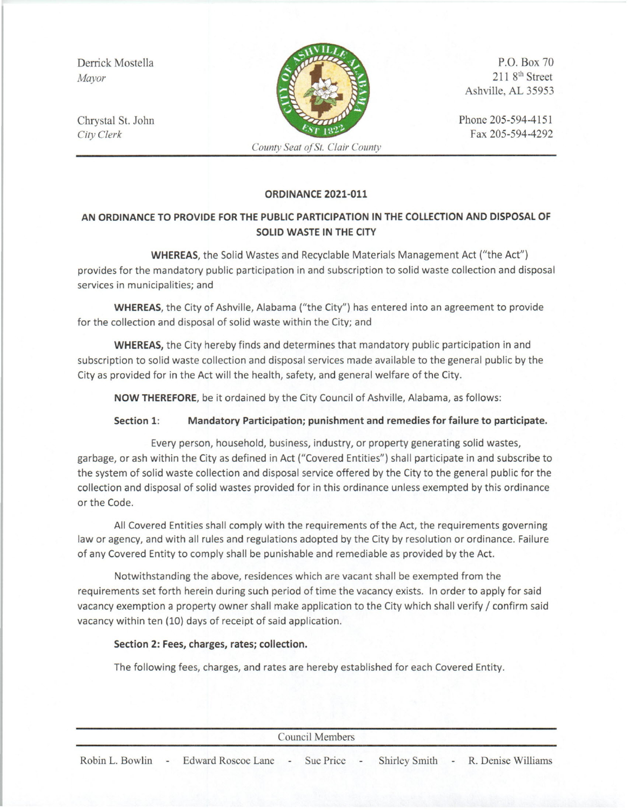Derrick Mostella *Mayor*

Chrystal St. John *City Clerk*



*County Seat ofSt. Clair County*

P.O. Box 70  $2118<sup>th</sup>$  Street Ashville, AL 35953

Phone 205-594-4151 Fax 205-594-4292

### **ORDINANCE 2021-011**

# **AN ORDINANCE TO PROVIDE FOR THE PUBLIC PARTICIPATION IN THE COLLECTION AND DISPOSAL OF SOLID WASTE IN THE CITY**

**WHEREAS,** the Solid Wastes and Recyclable Materials Management Act ("the Act") provides for the mandatory public participation in and subscription to solid waste collection and disposal services in municipalities; and

**WHEREAS,** the City of Ashville, Alabama ("the City") has entered into an agreement to provide for the collection and disposal of solid waste within the City; and

**WHEREAS,** the City hereby finds and determines that mandatory public participation in and subscription to solid waste collection and disposal services made available to the general public by the City as provided for in the Act will the health, safety, and general welfare of the City.

**NOW THEREFORE,** be it ordained by the City Council of Ashville, Alabama, as follows:

#### **Section 1: Mandatory Participation; punishment and remedies for failure to participate.**

Every person, household, business, industry, or property generating solid wastes, garbage, or ash within the City as defined in Act ("Covered Entities") shall participate in and subscribe to the system of solid waste collection and disposal service offered by the City to the general public for the collection and disposal of solid wastes provided for in this ordinance unless exempted by this ordinance or the Code.

All Covered Entities shall comply with the requirements of the Act, the requirements governing law or agency, and with all rules and regulations adopted by the City by resolution or ordinance. Failure of any Covered Entity to comply shall be punishable and remediable as provided by the Act.

Notwithstanding the above, residences which are vacant shall be exempted from the requirements set forth herein during such period of time the vacancy exists. In order to apply for said vacancy exemption a property owner shall make application to the City which shall verify / confirm said vacancy within ten (10) days of receipt of said application.

#### **Section 2: Fees, charges, rates; collection.**

The following fees, charges, and rates are hereby established for each Covered Entity.

| Council Members |  |                                                                                       |  |  |  |  |  |  |
|-----------------|--|---------------------------------------------------------------------------------------|--|--|--|--|--|--|
|                 |  | Robin L. Bowlin - Edward Roscoe Lane - Sue Price - Shirley Smith - R. Denise Williams |  |  |  |  |  |  |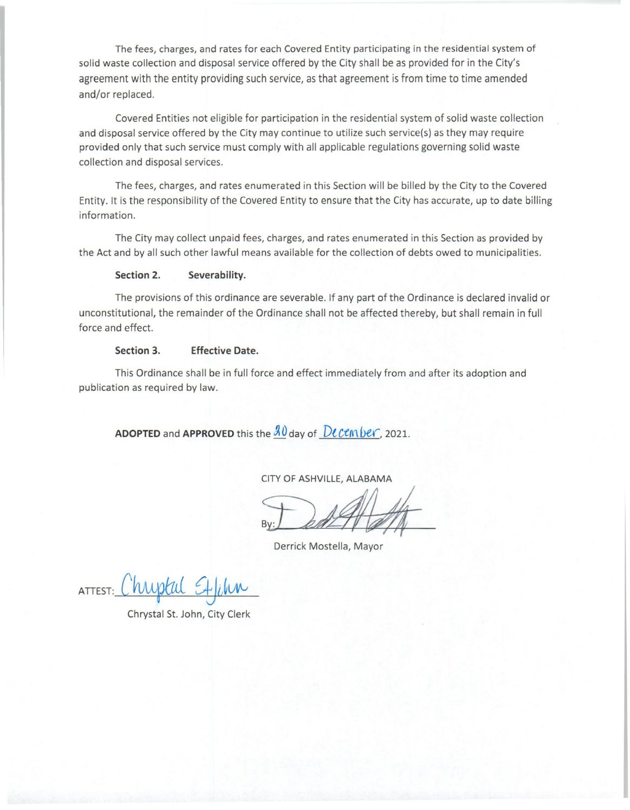The fees, charges, and rates for each Covered Entity participating in the residential system of solid waste collection and disposal service offered by the City shall be as provided for in the City's agreement with the entity providing such service, as that agreement is from time to time amended and/or replaced.

Covered Entities not eligible for participation in the residential system of solid waste collection and disposal service offered by the City may continue to utilize such service(s) as they may require provided only that such service must comply with all applicable regulations governing solid waste collection and disposal services.

The fees, charges, and rates enumerated in this Section will be billed by the City to the Covered Entity. It is the responsibility of the Covered Entity to ensure that the City has accurate, up to date billing information.

The City may collect unpaid fees, charges, and rates enumerated in this Section as provided by the Act and by all such other lawful means available for the collection of debts owed to municipalities.

#### Section 2. Severability.

The provisions of this ordinance are severable. If any part of the Ordinance is declared invalid or unconstitutional, the remainder of the Ordinance shall not be affected thereby, but shall remain in full force and effect.

#### Section 3. Effective Date.

This Ordinance shall be in full force and effect immediately from and after its adoption and publication as required by law.

**ADOPTED** and APPROVED this the  $\frac{\partial \theta}{\partial \theta}$  day of  $D$ cember, 2021

CITY OF ASHVILLE,ALABAMA

~

Derrick Mostella, Mayor

ATTEST: *C~ ~il!(;\Iv*

Chrystal St. John, City Clerk